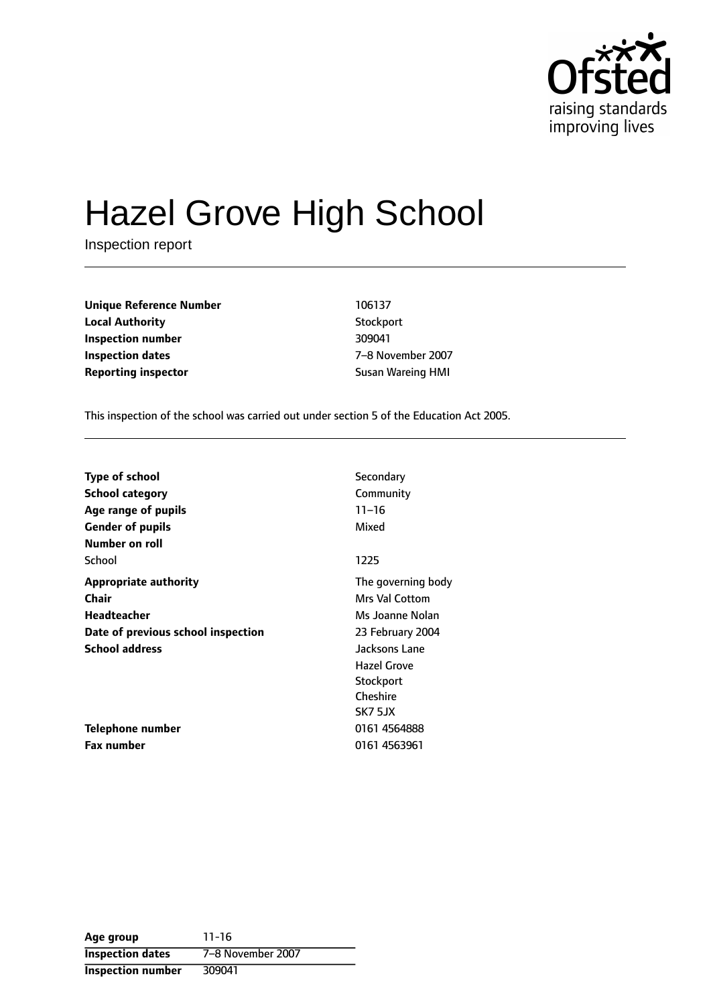

# Hazel Grove High School

Inspection report

| <b>Unique Reference Number</b> | 106137            |
|--------------------------------|-------------------|
| <b>Local Authority</b>         | Stockport         |
| Inspection number              | 309041            |
| Inspection dates               | 7-8 November 2007 |
| Reporting inspector            | Susan Wareing HMI |

This inspection of the school was carried out under section 5 of the Education Act 2005.

| <b>Type of school</b>              | Secondary             |
|------------------------------------|-----------------------|
| School category                    | Community             |
| Age range of pupils                | $11 - 16$             |
| <b>Gender of pupils</b>            | Mixed                 |
| Number on roll                     |                       |
| School                             | 1225                  |
| <b>Appropriate authority</b>       | The governing body    |
| Chair                              | <b>Mrs Val Cottom</b> |
| Headteacher                        | Ms Joanne Nolan       |
| Date of previous school inspection | 23 February 2004      |
| <b>School address</b>              | Jacksons Lane         |
|                                    | <b>Hazel Grove</b>    |
|                                    | Stockport             |
|                                    | Cheshire              |
|                                    | SK7 5JX               |
| Telephone number                   | 0161 4564888          |
| <b>Fax number</b>                  | 0161 4563961          |

**Age group** 11-16 **Inspection dates** 7-8 November 2007 **Inspection number** 309041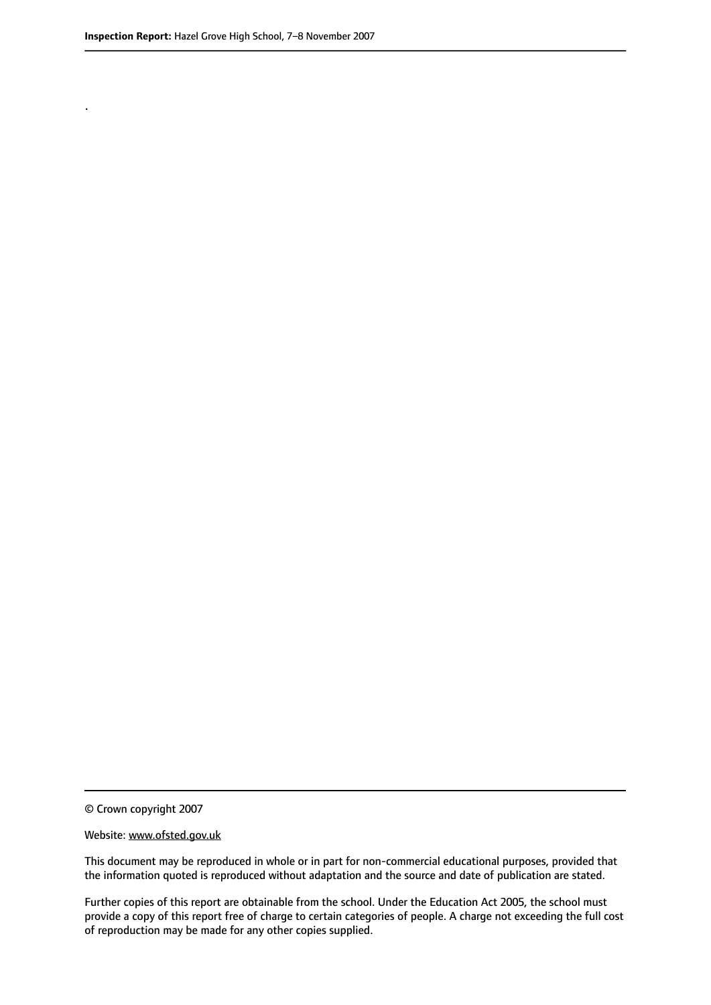.

© Crown copyright 2007

#### Website: www.ofsted.gov.uk

This document may be reproduced in whole or in part for non-commercial educational purposes, provided that the information quoted is reproduced without adaptation and the source and date of publication are stated.

Further copies of this report are obtainable from the school. Under the Education Act 2005, the school must provide a copy of this report free of charge to certain categories of people. A charge not exceeding the full cost of reproduction may be made for any other copies supplied.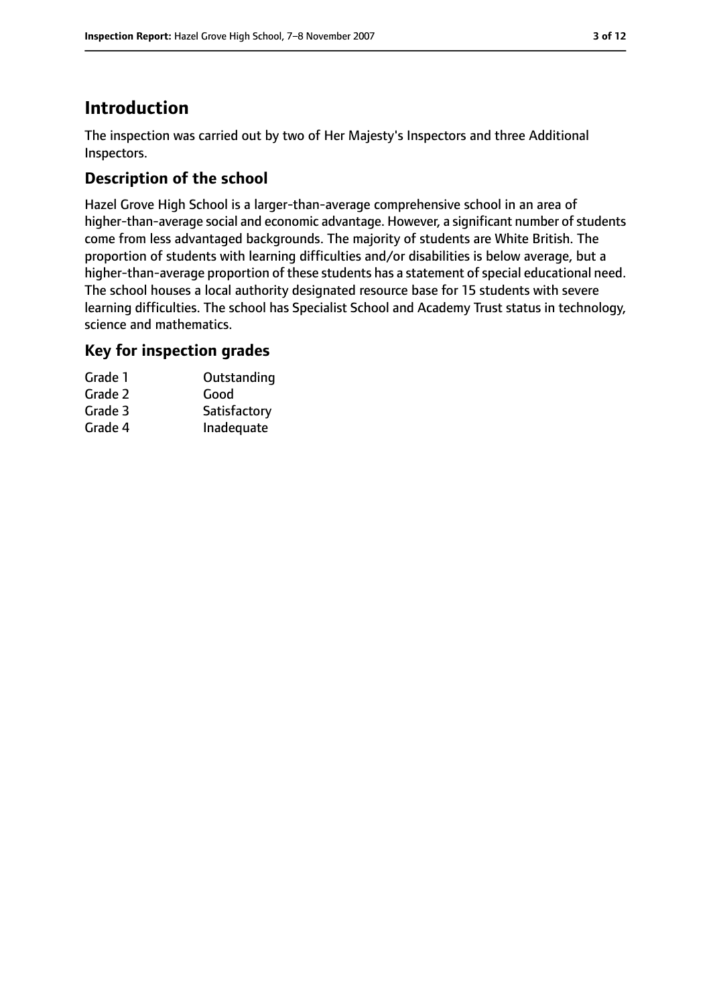# **Introduction**

The inspection was carried out by two of Her Majesty's Inspectors and three Additional Inspectors.

# **Description of the school**

Hazel Grove High School is a larger-than-average comprehensive school in an area of higher-than-average social and economic advantage. However, a significant number of students come from less advantaged backgrounds. The majority of students are White British. The proportion of students with learning difficulties and/or disabilities is below average, but a higher-than-average proportion of these students has a statement of special educational need. The school houses a local authority designated resource base for 15 students with severe learning difficulties. The school has Specialist School and Academy Trust status in technology, science and mathematics.

## **Key for inspection grades**

| Grade 1 | Outstanding  |
|---------|--------------|
| Grade 2 | Good         |
| Grade 3 | Satisfactory |
| Grade 4 | Inadequate   |
|         |              |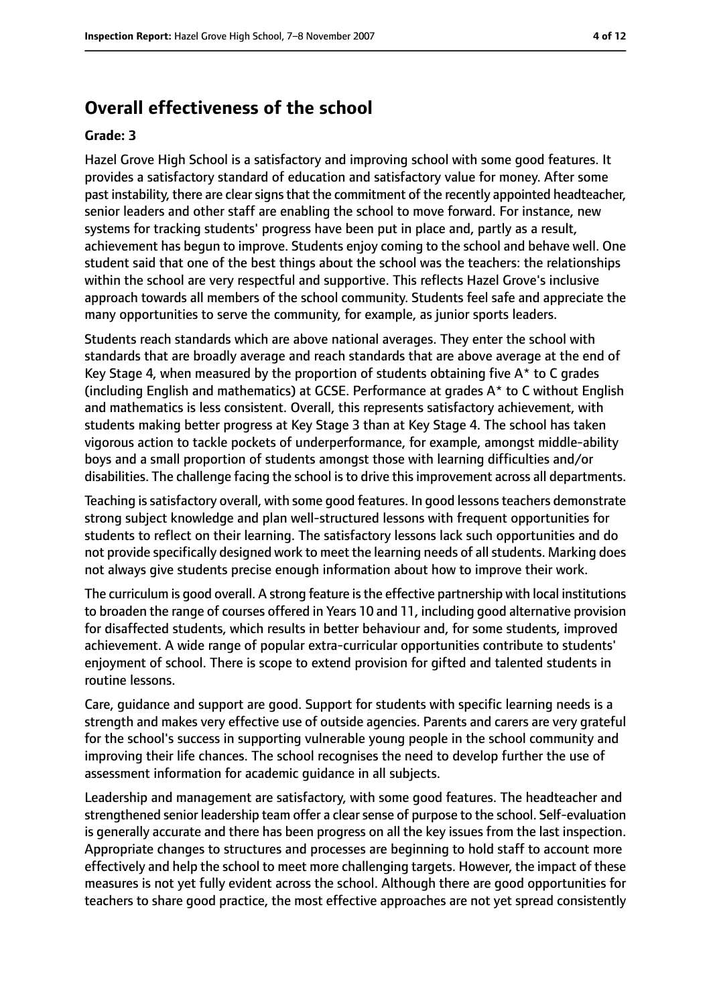# **Overall effectiveness of the school**

#### **Grade: 3**

Hazel Grove High School is a satisfactory and improving school with some good features. It provides a satisfactory standard of education and satisfactory value for money. After some past instability, there are clear signs that the commitment of the recently appointed headteacher, senior leaders and other staff are enabling the school to move forward. For instance, new systems for tracking students' progress have been put in place and, partly as a result, achievement has begun to improve. Students enjoy coming to the school and behave well. One student said that one of the best things about the school was the teachers: the relationships within the school are very respectful and supportive. This reflects Hazel Grove's inclusive approach towards all members of the school community. Students feel safe and appreciate the many opportunities to serve the community, for example, as junior sports leaders.

Students reach standards which are above national averages. They enter the school with standards that are broadly average and reach standards that are above average at the end of Key Stage 4, when measured by the proportion of students obtaining five  $A^*$  to C grades (including English and mathematics) at GCSE. Performance at grades A\* to C without English and mathematics is less consistent. Overall, this represents satisfactory achievement, with students making better progress at Key Stage 3 than at Key Stage 4. The school has taken vigorous action to tackle pockets of underperformance, for example, amongst middle-ability boys and a small proportion of students amongst those with learning difficulties and/or disabilities. The challenge facing the school is to drive this improvement across all departments.

Teaching issatisfactory overall, with some good features. In good lessonsteachers demonstrate strong subject knowledge and plan well-structured lessons with frequent opportunities for students to reflect on their learning. The satisfactory lessons lack such opportunities and do not provide specifically designed work to meet the learning needs of all students. Marking does not always give students precise enough information about how to improve their work.

The curriculum is good overall. A strong feature is the effective partnership with local institutions to broaden the range of courses offered in Years 10 and 11, including good alternative provision for disaffected students, which results in better behaviour and, for some students, improved achievement. A wide range of popular extra-curricular opportunities contribute to students' enjoyment of school. There is scope to extend provision for gifted and talented students in routine lessons.

Care, guidance and support are good. Support for students with specific learning needs is a strength and makes very effective use of outside agencies. Parents and carers are very grateful for the school's success in supporting vulnerable young people in the school community and improving their life chances. The school recognises the need to develop further the use of assessment information for academic guidance in all subjects.

Leadership and management are satisfactory, with some good features. The headteacher and strengthened senior leadership team offer a clear sense of purpose to the school. Self-evaluation is generally accurate and there has been progress on all the key issues from the last inspection. Appropriate changes to structures and processes are beginning to hold staff to account more effectively and help the school to meet more challenging targets. However, the impact of these measures is not yet fully evident across the school. Although there are good opportunities for teachers to share good practice, the most effective approaches are not yet spread consistently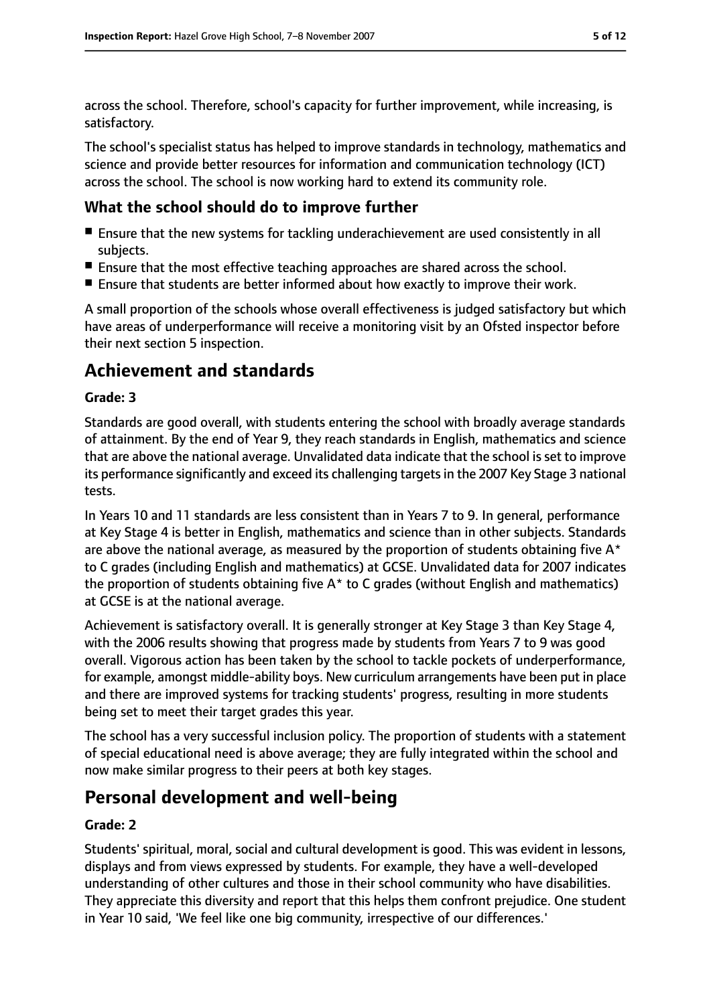across the school. Therefore, school's capacity for further improvement, while increasing, is satisfactory.

The school's specialist status has helped to improve standards in technology, mathematics and science and provide better resources for information and communication technology (ICT) across the school. The school is now working hard to extend its community role.

## **What the school should do to improve further**

- Ensure that the new systems for tackling underachievement are used consistently in all subjects.
- Ensure that the most effective teaching approaches are shared across the school.
- Ensure that students are better informed about how exactly to improve their work.

A small proportion of the schools whose overall effectiveness is judged satisfactory but which have areas of underperformance will receive a monitoring visit by an Ofsted inspector before their next section 5 inspection.

# **Achievement and standards**

## **Grade: 3**

Standards are good overall, with students entering the school with broadly average standards of attainment. By the end of Year 9, they reach standards in English, mathematics and science that are above the national average. Unvalidated data indicate that the school is set to improve its performance significantly and exceed its challenging targetsin the 2007 Key Stage 3 national tests.

In Years 10 and 11 standards are less consistent than in Years 7 to 9. In general, performance at Key Stage 4 is better in English, mathematics and science than in other subjects. Standards are above the national average, as measured by the proportion of students obtaining five  $A^*$ to C grades (including English and mathematics) at GCSE. Unvalidated data for 2007 indicates the proportion of students obtaining five  $A^*$  to C grades (without English and mathematics) at GCSE is at the national average.

Achievement is satisfactory overall. It is generally stronger at Key Stage 3 than Key Stage 4, with the 2006 results showing that progress made by students from Years 7 to 9 was good overall. Vigorous action has been taken by the school to tackle pockets of underperformance, for example, amongst middle-ability boys. New curriculum arrangements have been put in place and there are improved systems for tracking students' progress, resulting in more students being set to meet their target grades this year.

The school has a very successful inclusion policy. The proportion of students with a statement of special educational need is above average; they are fully integrated within the school and now make similar progress to their peers at both key stages.

# **Personal development and well-being**

## **Grade: 2**

Students' spiritual, moral, social and cultural development is good. This was evident in lessons, displays and from views expressed by students. For example, they have a well-developed understanding of other cultures and those in their school community who have disabilities. They appreciate this diversity and report that this helps them confront prejudice. One student in Year 10 said, 'We feel like one big community, irrespective of our differences.'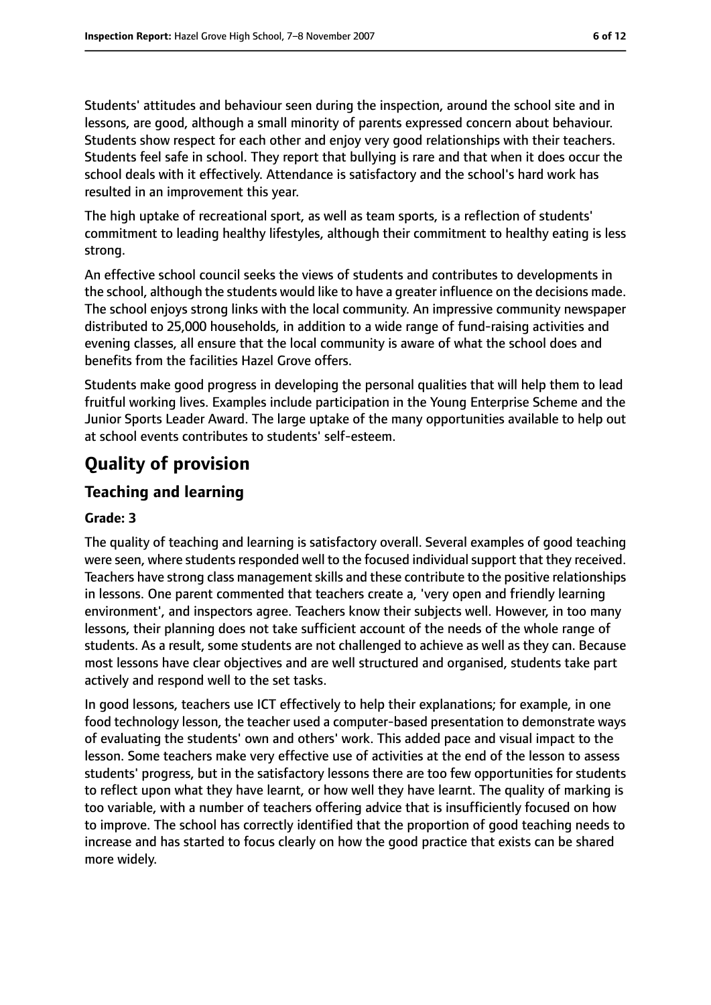Students' attitudes and behaviour seen during the inspection, around the school site and in lessons, are good, although a small minority of parents expressed concern about behaviour. Students show respect for each other and enjoy very good relationships with their teachers. Students feel safe in school. They report that bullying is rare and that when it does occur the school deals with it effectively. Attendance is satisfactory and the school's hard work has resulted in an improvement this year.

The high uptake of recreational sport, as well as team sports, is a reflection of students' commitment to leading healthy lifestyles, although their commitment to healthy eating is less strong.

An effective school council seeks the views of students and contributes to developments in the school, although the students would like to have a greater influence on the decisions made. The school enjoys strong links with the local community. An impressive community newspaper distributed to 25,000 households, in addition to a wide range of fund-raising activities and evening classes, all ensure that the local community is aware of what the school does and benefits from the facilities Hazel Grove offers.

Students make good progress in developing the personal qualities that will help them to lead fruitful working lives. Examples include participation in the Young Enterprise Scheme and the Junior Sports Leader Award. The large uptake of the many opportunities available to help out at school events contributes to students' self-esteem.

# **Quality of provision**

# **Teaching and learning**

#### **Grade: 3**

The quality of teaching and learning is satisfactory overall. Several examples of good teaching were seen, where students responded well to the focused individual support that they received. Teachers have strong class management skills and these contribute to the positive relationships in lessons. One parent commented that teachers create a, 'very open and friendly learning environment', and inspectors agree. Teachers know their subjects well. However, in too many lessons, their planning does not take sufficient account of the needs of the whole range of students. As a result, some students are not challenged to achieve as well as they can. Because most lessons have clear objectives and are well structured and organised, students take part actively and respond well to the set tasks.

In good lessons, teachers use ICT effectively to help their explanations; for example, in one food technology lesson, the teacher used a computer-based presentation to demonstrate ways of evaluating the students' own and others' work. This added pace and visual impact to the lesson. Some teachers make very effective use of activities at the end of the lesson to assess students' progress, but in the satisfactory lessons there are too few opportunities for students to reflect upon what they have learnt, or how well they have learnt. The quality of marking is too variable, with a number of teachers offering advice that is insufficiently focused on how to improve. The school has correctly identified that the proportion of good teaching needs to increase and has started to focus clearly on how the good practice that exists can be shared more widely.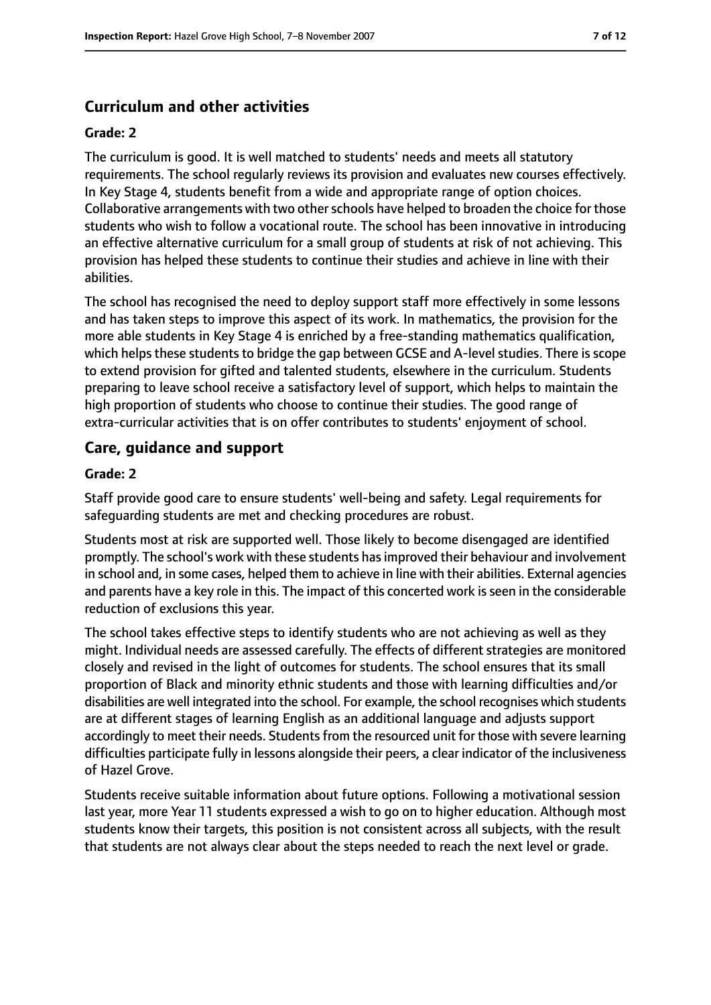# **Curriculum and other activities**

#### **Grade: 2**

The curriculum is good. It is well matched to students' needs and meets all statutory requirements. The school regularly reviews its provision and evaluates new courses effectively. In Key Stage 4, students benefit from a wide and appropriate range of option choices. Collaborative arrangements with two other schools have helped to broaden the choice for those students who wish to follow a vocational route. The school has been innovative in introducing an effective alternative curriculum for a small group of students at risk of not achieving. This provision has helped these students to continue their studies and achieve in line with their abilities.

The school has recognised the need to deploy support staff more effectively in some lessons and has taken steps to improve this aspect of its work. In mathematics, the provision for the more able students in Key Stage 4 is enriched by a free-standing mathematics qualification, which helps these students to bridge the gap between GCSE and A-level studies. There is scope to extend provision for gifted and talented students, elsewhere in the curriculum. Students preparing to leave school receive a satisfactory level of support, which helps to maintain the high proportion of students who choose to continue their studies. The good range of extra-curricular activities that is on offer contributes to students' enjoyment of school.

## **Care, guidance and support**

#### **Grade: 2**

Staff provide good care to ensure students' well-being and safety. Legal requirements for safeguarding students are met and checking procedures are robust.

Students most at risk are supported well. Those likely to become disengaged are identified promptly. The school's work with these students hasimproved their behaviour and involvement in school and, in some cases, helped them to achieve in line with their abilities. External agencies and parents have a key role in this. The impact of this concerted work is seen in the considerable reduction of exclusions this year.

The school takes effective steps to identify students who are not achieving as well as they might. Individual needs are assessed carefully. The effects of different strategies are monitored closely and revised in the light of outcomes for students. The school ensures that its small proportion of Black and minority ethnic students and those with learning difficulties and/or disabilities are well integrated into the school. For example, the school recognises which students are at different stages of learning English as an additional language and adjusts support accordingly to meet their needs. Students from the resourced unit for those with severe learning difficulties participate fully in lessons alongside their peers, a clear indicator of the inclusiveness of Hazel Grove.

Students receive suitable information about future options. Following a motivational session last year, more Year 11 students expressed a wish to go on to higher education. Although most students know their targets, this position is not consistent across all subjects, with the result that students are not always clear about the steps needed to reach the next level or grade.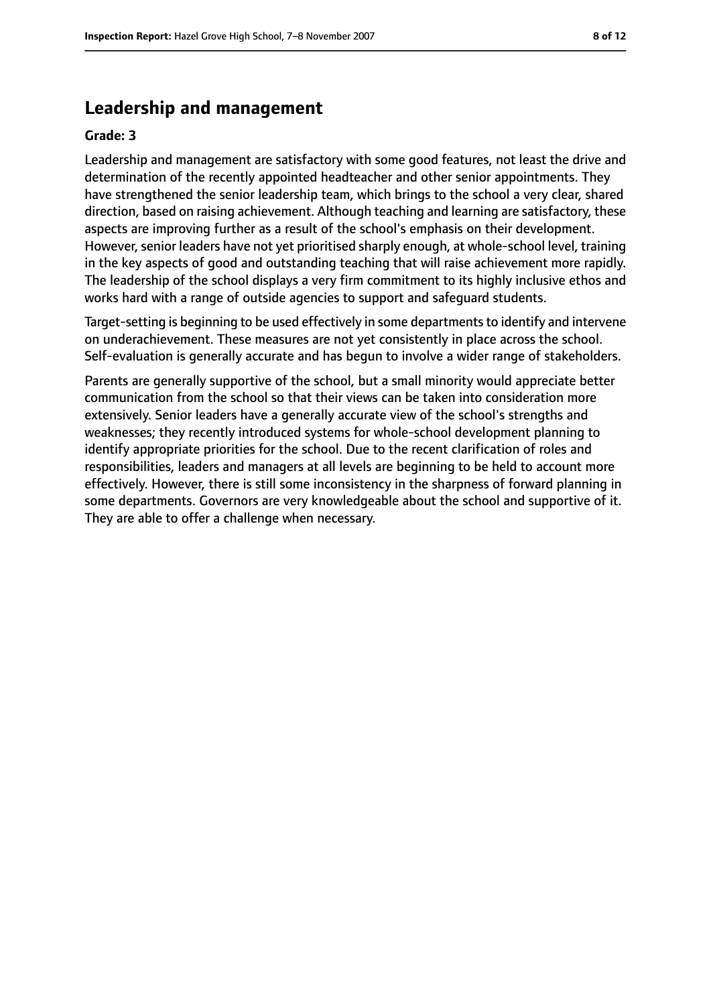## **Leadership and management**

#### **Grade: 3**

Leadership and management are satisfactory with some good features, not least the drive and determination of the recently appointed headteacher and other senior appointments. They have strengthened the senior leadership team, which brings to the school a very clear, shared direction, based on raising achievement. Although teaching and learning are satisfactory, these aspects are improving further as a result of the school's emphasis on their development. However, senior leaders have not yet prioritised sharply enough, at whole-school level, training in the key aspects of good and outstanding teaching that will raise achievement more rapidly. The leadership of the school displays a very firm commitment to its highly inclusive ethos and works hard with a range of outside agencies to support and safeguard students.

Target-setting is beginning to be used effectively in some departments to identify and intervene on underachievement. These measures are not yet consistently in place across the school. Self-evaluation is generally accurate and has begun to involve a wider range of stakeholders.

Parents are generally supportive of the school, but a small minority would appreciate better communication from the school so that their views can be taken into consideration more extensively. Senior leaders have a generally accurate view of the school's strengths and weaknesses; they recently introduced systems for whole-school development planning to identify appropriate priorities for the school. Due to the recent clarification of roles and responsibilities, leaders and managers at all levels are beginning to be held to account more effectively. However, there is still some inconsistency in the sharpness of forward planning in some departments. Governors are very knowledgeable about the school and supportive of it. They are able to offer a challenge when necessary.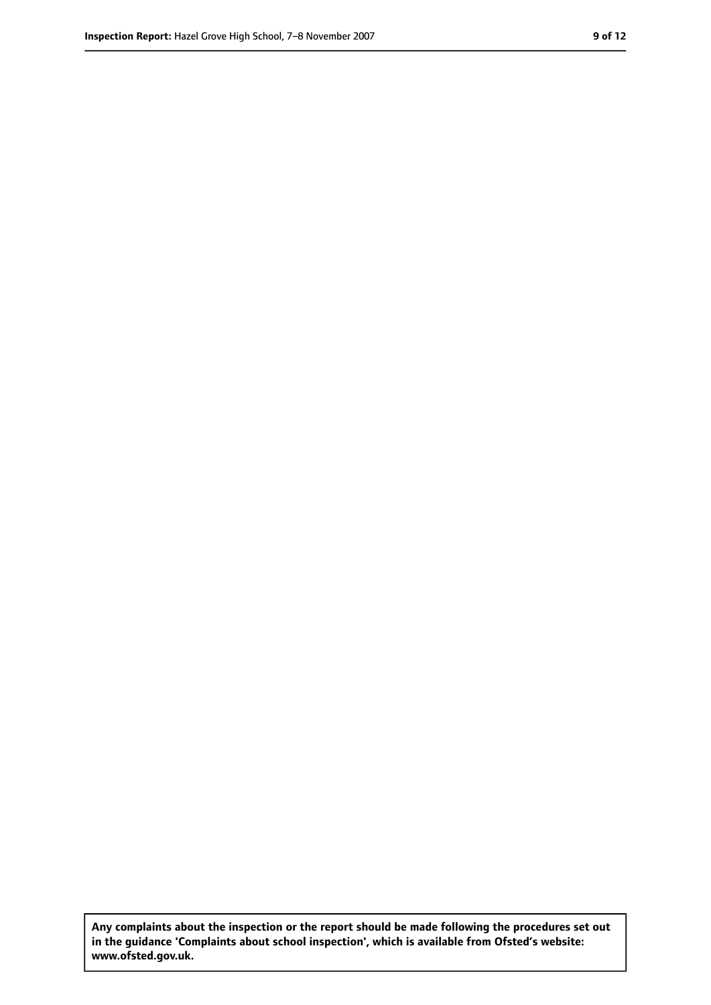**Any complaints about the inspection or the report should be made following the procedures set out in the guidance 'Complaints about school inspection', which is available from Ofsted's website: www.ofsted.gov.uk.**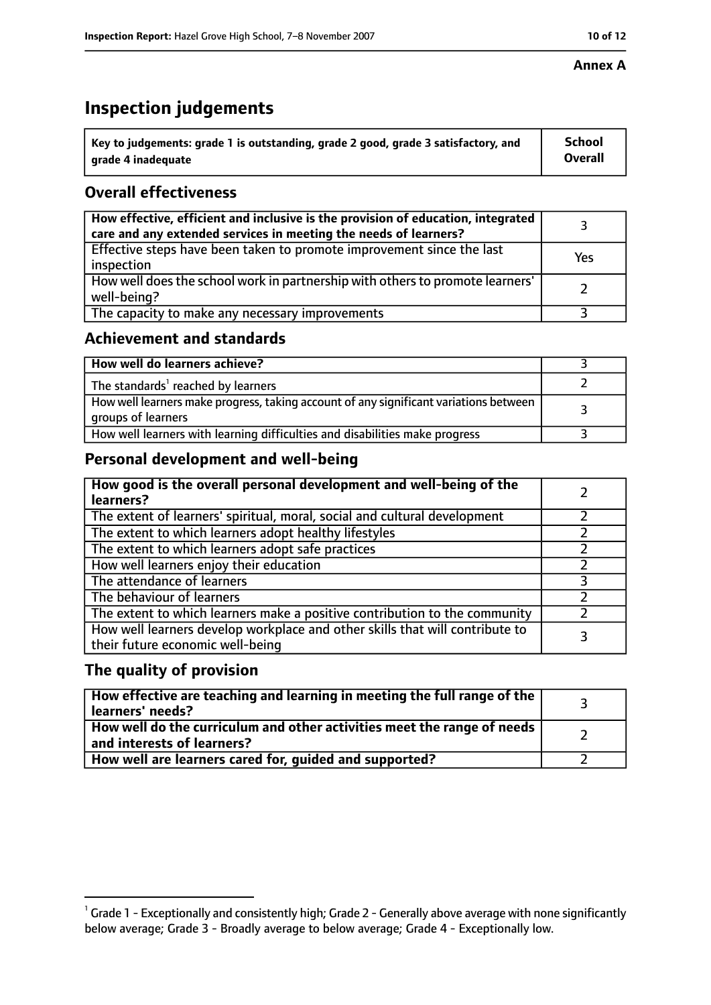#### **Annex A**

# **Inspection judgements**

| $^{\backprime}$ Key to judgements: grade 1 is outstanding, grade 2 good, grade 3 satisfactory, and | <b>School</b>  |
|----------------------------------------------------------------------------------------------------|----------------|
| arade 4 inadequate                                                                                 | <b>Overall</b> |

# **Overall effectiveness**

| How effective, efficient and inclusive is the provision of education, integrated<br>care and any extended services in meeting the needs of learners? |     |
|------------------------------------------------------------------------------------------------------------------------------------------------------|-----|
| Effective steps have been taken to promote improvement since the last<br>inspection                                                                  | Yes |
| How well does the school work in partnership with others to promote learners'<br>well-being?                                                         |     |
| The capacity to make any necessary improvements                                                                                                      |     |

# **Achievement and standards**

| How well do learners achieve?                                                                               |  |
|-------------------------------------------------------------------------------------------------------------|--|
| The standards <sup>1</sup> reached by learners                                                              |  |
| How well learners make progress, taking account of any significant variations between<br>groups of learners |  |
| How well learners with learning difficulties and disabilities make progress                                 |  |

# **Personal development and well-being**

| How good is the overall personal development and well-being of the<br>learners?                                  |   |
|------------------------------------------------------------------------------------------------------------------|---|
| The extent of learners' spiritual, moral, social and cultural development                                        |   |
| The extent to which learners adopt healthy lifestyles                                                            |   |
| The extent to which learners adopt safe practices                                                                |   |
| How well learners enjoy their education                                                                          |   |
| The attendance of learners                                                                                       | っ |
| The behaviour of learners                                                                                        |   |
| The extent to which learners make a positive contribution to the community                                       |   |
| How well learners develop workplace and other skills that will contribute to<br>their future economic well-being |   |

## **The quality of provision**

| How effective are teaching and learning in meeting the full range of the<br>learners' needs?          |  |
|-------------------------------------------------------------------------------------------------------|--|
| How well do the curriculum and other activities meet the range of needs<br>and interests of learners? |  |
| How well are learners cared for, guided and supported?                                                |  |

 $^1$  Grade 1 - Exceptionally and consistently high; Grade 2 - Generally above average with none significantly below average; Grade 3 - Broadly average to below average; Grade 4 - Exceptionally low.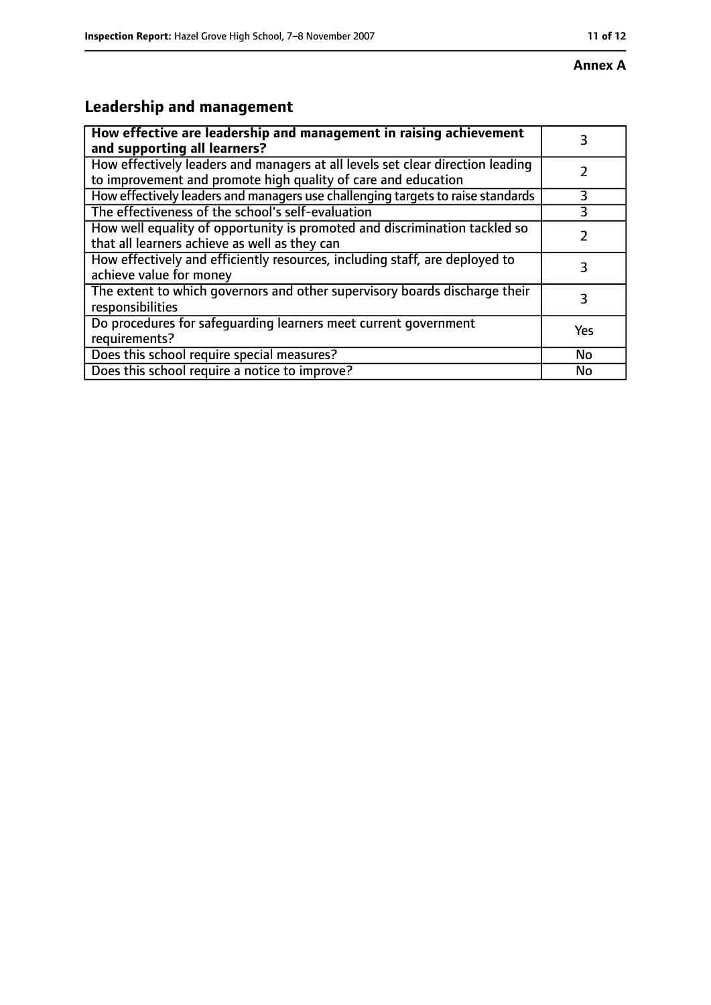# **Annex A**

# **Leadership and management**

| How effective are leadership and management in raising achievement<br>and supporting all learners?                                              | 3   |
|-------------------------------------------------------------------------------------------------------------------------------------------------|-----|
| How effectively leaders and managers at all levels set clear direction leading<br>to improvement and promote high quality of care and education |     |
| How effectively leaders and managers use challenging targets to raise standards                                                                 | 3   |
| The effectiveness of the school's self-evaluation                                                                                               |     |
| How well equality of opportunity is promoted and discrimination tackled so<br>that all learners achieve as well as they can                     |     |
| How effectively and efficiently resources, including staff, are deployed to<br>achieve value for money                                          | 3   |
| The extent to which governors and other supervisory boards discharge their<br>responsibilities                                                  | 3   |
| Do procedures for safequarding learners meet current government<br>requirements?                                                                | Yes |
| Does this school require special measures?                                                                                                      | No  |
| Does this school require a notice to improve?                                                                                                   | No  |